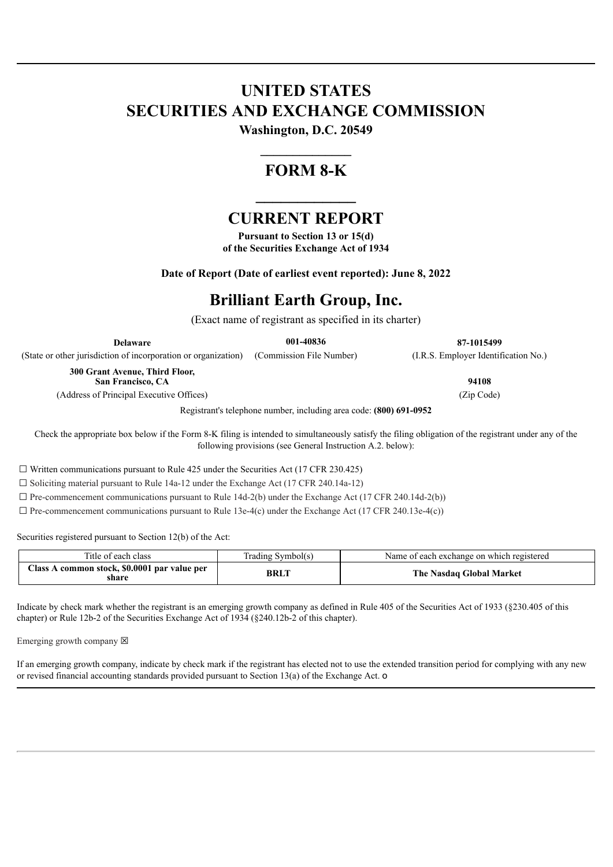# **UNITED STATES SECURITIES AND EXCHANGE COMMISSION**

**Washington, D.C. 20549 \_\_\_\_\_\_\_\_\_\_\_\_\_\_**

# **FORM 8-K**

### **CURRENT REPORT**

**\_\_\_\_\_\_\_\_\_\_\_\_**

**Pursuant to Section 13 or 15(d) of the Securities Exchange Act of 1934**

**Date of Report (Date of earliest event reported): June 8, 2022**

## **Brilliant Earth Group, Inc.**

(Exact name of registrant as specified in its charter)

**Delaware 001-40836 87-1015499**

(State or other jurisdiction of incorporation or organization) (Commission File Number) (I.R.S. Employer Identification No.)

**300 Grant Avenue, Third Floor, San Francisco, CA 94108**

(Address of Principal Executive Offices) (Zip Code)

Registrant's telephone number, including area code: **(800) 691-0952**

Check the appropriate box below if the Form 8-K filing is intended to simultaneously satisfy the filing obligation of the registrant under any of the following provisions (see General Instruction A.2. below):

 $\Box$  Written communications pursuant to Rule 425 under the Securities Act (17 CFR 230.425)

 $\Box$  Soliciting material pursuant to Rule 14a-12 under the Exchange Act (17 CFR 240.14a-12)

 $\Box$  Pre-commencement communications pursuant to Rule 14d-2(b) under the Exchange Act (17 CFR 240.14d-2(b))

 $\Box$  Pre-commencement communications pursuant to Rule 13e-4(c) under the Exchange Act (17 CFR 240.13e-4(c))

Securities registered pursuant to Section 12(b) of the Act:

| Title of each class                                        | Symbol(s)<br>radıng | Name of each exchange on which registered |
|------------------------------------------------------------|---------------------|-------------------------------------------|
| A common stock, \$0.0001 par value per<br>Class A<br>share | <b>BRLT</b>         | <b>The Nasdaq Global Market</b>           |

Indicate by check mark whether the registrant is an emerging growth company as defined in Rule 405 of the Securities Act of 1933 (§230.405 of this chapter) or Rule 12b-2 of the Securities Exchange Act of 1934 (§240.12b-2 of this chapter).

Emerging growth company  $\boxtimes$ 

If an emerging growth company, indicate by check mark if the registrant has elected not to use the extended transition period for complying with any new or revised financial accounting standards provided pursuant to Section 13(a) of the Exchange Act. o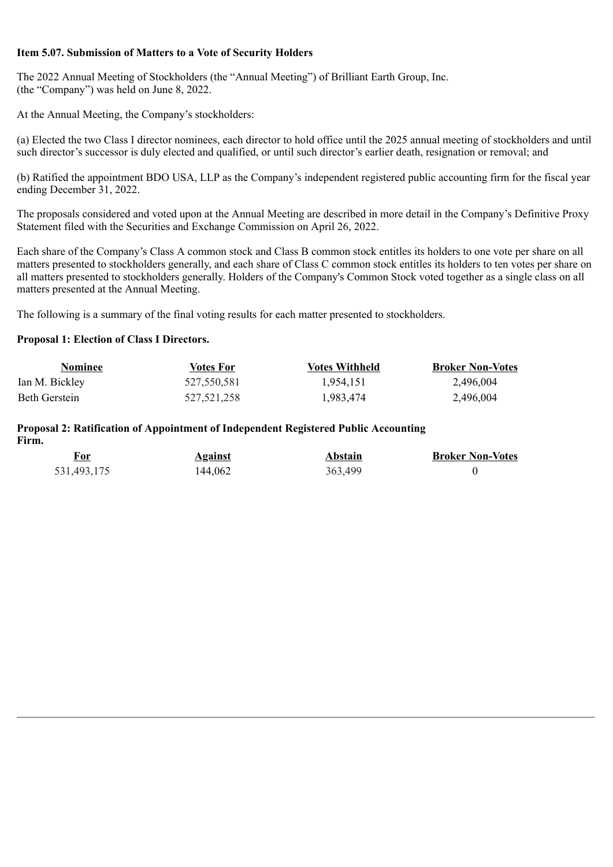#### **Item 5.07. Submission of Matters to a Vote of Security Holders**

The 2022 Annual Meeting of Stockholders (the "Annual Meeting") of Brilliant Earth Group, Inc. (the "Company") was held on June 8, 2022.

At the Annual Meeting, the Company's stockholders:

(a) Elected the two Class I director nominees, each director to hold office until the 2025 annual meeting of stockholders and until such director's successor is duly elected and qualified, or until such director's earlier death, resignation or removal; and

(b) Ratified the appointment BDO USA, LLP as the Company's independent registered public accounting firm for the fiscal year ending December 31, 2022.

The proposals considered and voted upon at the Annual Meeting are described in more detail in the Company's Definitive Proxy Statement filed with the Securities and Exchange Commission on April 26, 2022.

Each share of the Company's Class A common stock and Class B common stock entitles its holders to one vote per share on all matters presented to stockholders generally, and each share of Class C common stock entitles its holders to ten votes per share on all matters presented to stockholders generally. Holders of the Company's Common Stock voted together as a single class on all matters presented at the Annual Meeting.

The following is a summary of the final voting results for each matter presented to stockholders.

#### **Proposal 1: Election of Class I Directors.**

| <b>Nominee</b> | Votes For   | <b>Votes Withheld</b> | <b>Broker Non-Votes</b> |
|----------------|-------------|-----------------------|-------------------------|
| Ian M. Bickley | 527,550,581 | 1.954.151             | 2,496,004               |
| Beth Gerstein  | 527.521.258 | 1,983,474             | 2,496,004               |

#### **Proposal 2: Ratification of Appointment of Independent Registered Public Accounting Firm.**

| <u>For</u>  | <b>Against</b> | Abstain | <b>Broker Non-Votes</b> |
|-------------|----------------|---------|-------------------------|
| 531,493,175 | 144,062        | 363,499 |                         |